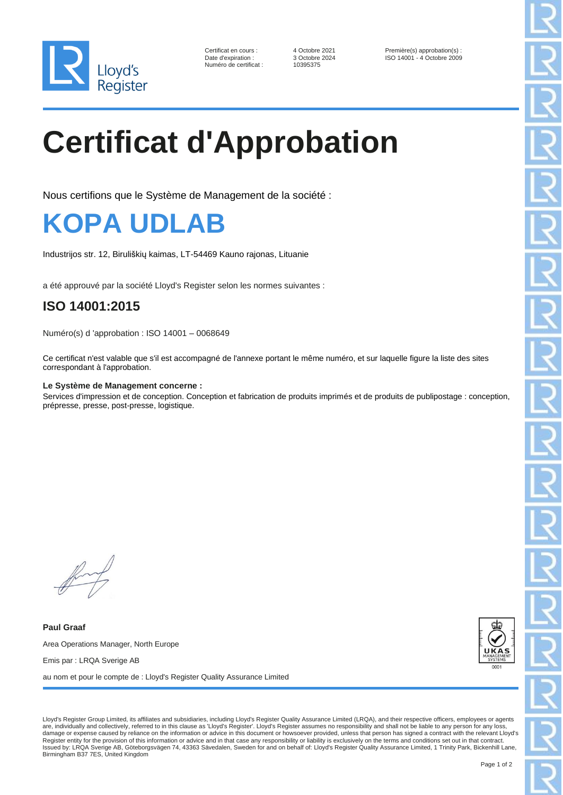

Numéro de certificat :

Certificat en cours : 4 Octobre 2021 Première(s) approbation(s) :<br>
Date d'expiration : 3 Octobre 2024 ISO 14001 - 4 Octobre 2009 3 Octobre 2024 ISO 14001 - 4 Octobre 2009<br>10395375

# **Certificat d'Approbation**

Nous certifions que le Système de Management de la société :



Industrijos str. 12, Biruliškių kaimas, LT-54469 Kauno rajonas, Lituanie

a été approuvé par la société Lloyd's Register selon les normes suivantes :

### **ISO 14001:2015**

Numéro(s) d 'approbation : ISO 14001 – 0068649

Ce certificat n'est valable que s'il est accompagné de l'annexe portant le même numéro, et sur laquelle figure la liste des sites correspondant à l'approbation.

### **Le Système de Management concerne :**

Services d'impression et de conception. Conception et fabrication de produits imprimés et de produits de publipostage : conception, prépresse, presse, post-presse, logistique.

**Paul Graaf** Area Operations Manager, North Europe Emis par : LRQA Sverige AB au nom et pour le compte de : Lloyd's Register Quality Assurance Limited



Lloyd's Register Group Limited, its affiliates and subsidiaries, including Lloyd's Register Quality Assurance Limited (LRQA), and their respective officers, employees or agents are, individually and collectively, referred to in this clause as 'Lloyd's Register'. Lloyd's Register assumes no responsibility and shall not be liable to any person for any loss, damage or expense caused by reliance on the information or advice in this document or howsoever provided, unless that person has signed a contract with the relevant Lloyd's Register entity for the provision of this information or advice and in that case any responsibility or liability is exclusively on the terms and conditions set out in that contract Issued by: LRQA Sverige AB, Göteborgsvägen 74, 43363 Sävedalen, Sweden for and on behalf of: Lloyd's Register Quality Assurance Limited, 1 Trinity Park, Bickenhill Lane, Birmingham B37 7ES, United Kingdom